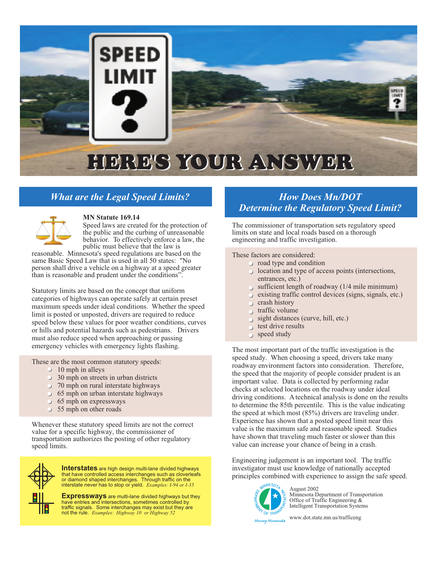

# *What are the Legal Speed Limits? How Does Mn/DOT*



# **MN Statute 169.14**

behavior. To effectively enforce a law, the public must believe that the law is

reasonable. Minnesota's speed regulations are based on the These factors are considered:<br>same Basic Speed Law that is used in all 50 states: "No<br>read type and conditional conditions are considered: Same Basic Speed Law that is used in all 50 states: "No<br>person shall drive a vehicle on a highway at a speed greater<br>than is reasonable and prudent under the conditions".<br>State of the conditions of the conditions of the co

Statutory limits are based on the concept that uniform<br>
categories of highways can operate safely at certain preset<br>
maximum speeds under ideal conditions. Whether the speed<br>
limit is posted or unposted, drivers are requir emergency vehicles with emergency lights flashing. The most important part of the traffic investigation is the

- $\supset$  10 mph in alleys
- 30 mph on streets in urban districts
- 70 mph on rural interstate highways
- 65 mph on urban interstate highways
- 65 mph on expressways
- 55 mph on other roads



**Interstates** are high design multi-lane divided highways that have controlled access interchanges such as cloverleafs or diamond shaped interchanges. Through traffic on the interstate never has to stop or yield. *Examples: I-94 or I-35*

**Expressways** are multi-lane divided highways but they have entries and intersections, sometimes controlled by traffic signals. Some interchanges may exist but they are not the rule. *Examples: Highway 10 or Highway 52*

# *Determine the Regulatory Speed Limit?*

Speed laws are created for the protection of The commissioner of transportation sets regulatory speed the public and the curbing of unreasonable limits on state and local roads based on a thorough limits on state and local roads based on a thorough engineering and traffic investigation.

- 
- 
- 
- 
- 
- 
- 
- 
- 

These are the most common statutory speeds: roadway environment factors into consideration. Therefore, Therefore, the speed that the majority of people consider prudent is an important value. Data is collected by performing radar checks at selected locations on the roadway under ideal driving conditions. A technical analysis is done on the results to determine the 85th percentile. This is the value indicating the speed at which most (85%) drivers are traveling under. Whenever these statutory speed limits are not the correct<br>value is the maximum safe and reasonable speed. Studies<br>value for a specific highway, the commissioner of<br>transportation authorizes the posting of other regulatory<br> value can increase your chance of being in a crash.

> Engineering judgement is an important tool. The traffic investigator must use knowledge of nationally accepted principles combined with experience to assign the safe speed.



August 2002 Minnesota Department of Transportation Office of Traffic Engineering & Intelligent Transportation Systems

Moving Minnesota

www.dot.state.mn.us/trafficeng